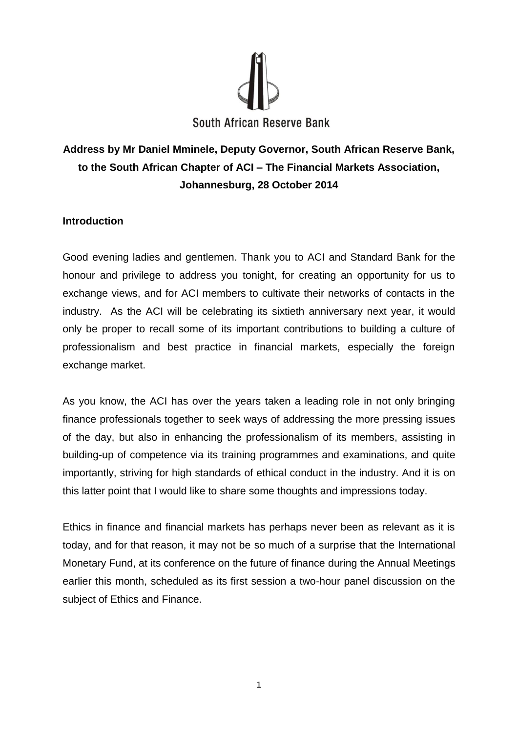

# **Address by Mr Daniel Mminele, Deputy Governor, South African Reserve Bank, to the South African Chapter of ACI – The Financial Markets Association, Johannesburg, 28 October 2014**

## **Introduction**

Good evening ladies and gentlemen. Thank you to ACI and Standard Bank for the honour and privilege to address you tonight, for creating an opportunity for us to exchange views, and for ACI members to cultivate their networks of contacts in the industry. As the ACI will be celebrating its sixtieth anniversary next year, it would only be proper to recall some of its important contributions to building a culture of professionalism and best practice in financial markets, especially the foreign exchange market.

As you know, the ACI has over the years taken a leading role in not only bringing finance professionals together to seek ways of addressing the more pressing issues of the day, but also in enhancing the professionalism of its members, assisting in building-up of competence via its training programmes and examinations, and quite importantly, striving for high standards of ethical conduct in the industry. And it is on this latter point that I would like to share some thoughts and impressions today.

Ethics in finance and financial markets has perhaps never been as relevant as it is today, and for that reason, it may not be so much of a surprise that the International Monetary Fund, at its conference on the future of finance during the Annual Meetings earlier this month, scheduled as its first session a two-hour panel discussion on the subject of Ethics and Finance.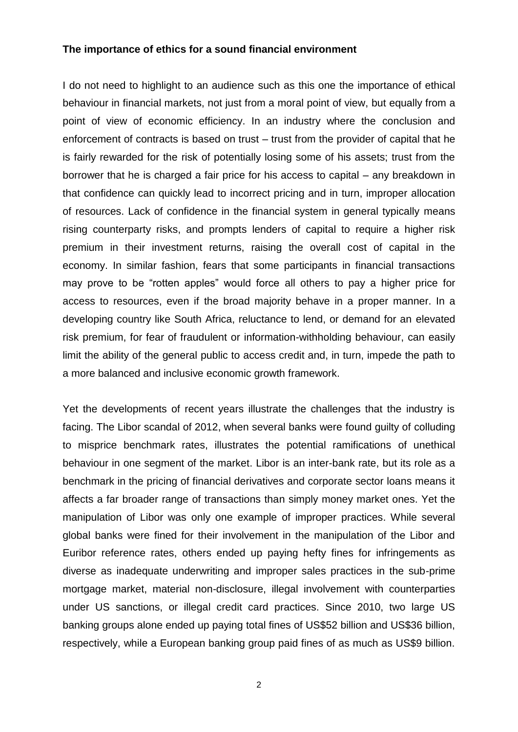### **The importance of ethics for a sound financial environment**

I do not need to highlight to an audience such as this one the importance of ethical behaviour in financial markets, not just from a moral point of view, but equally from a point of view of economic efficiency. In an industry where the conclusion and enforcement of contracts is based on trust – trust from the provider of capital that he is fairly rewarded for the risk of potentially losing some of his assets; trust from the borrower that he is charged a fair price for his access to capital – any breakdown in that confidence can quickly lead to incorrect pricing and in turn, improper allocation of resources. Lack of confidence in the financial system in general typically means rising counterparty risks, and prompts lenders of capital to require a higher risk premium in their investment returns, raising the overall cost of capital in the economy. In similar fashion, fears that some participants in financial transactions may prove to be "rotten apples" would force all others to pay a higher price for access to resources, even if the broad majority behave in a proper manner. In a developing country like South Africa, reluctance to lend, or demand for an elevated risk premium, for fear of fraudulent or information-withholding behaviour, can easily limit the ability of the general public to access credit and, in turn, impede the path to a more balanced and inclusive economic growth framework.

Yet the developments of recent years illustrate the challenges that the industry is facing. The Libor scandal of 2012, when several banks were found guilty of colluding to misprice benchmark rates, illustrates the potential ramifications of unethical behaviour in one segment of the market. Libor is an inter-bank rate, but its role as a benchmark in the pricing of financial derivatives and corporate sector loans means it affects a far broader range of transactions than simply money market ones. Yet the manipulation of Libor was only one example of improper practices. While several global banks were fined for their involvement in the manipulation of the Libor and Euribor reference rates, others ended up paying hefty fines for infringements as diverse as inadequate underwriting and improper sales practices in the sub-prime mortgage market, material non-disclosure, illegal involvement with counterparties under US sanctions, or illegal credit card practices. Since 2010, two large US banking groups alone ended up paying total fines of US\$52 billion and US\$36 billion, respectively, while a European banking group paid fines of as much as US\$9 billion.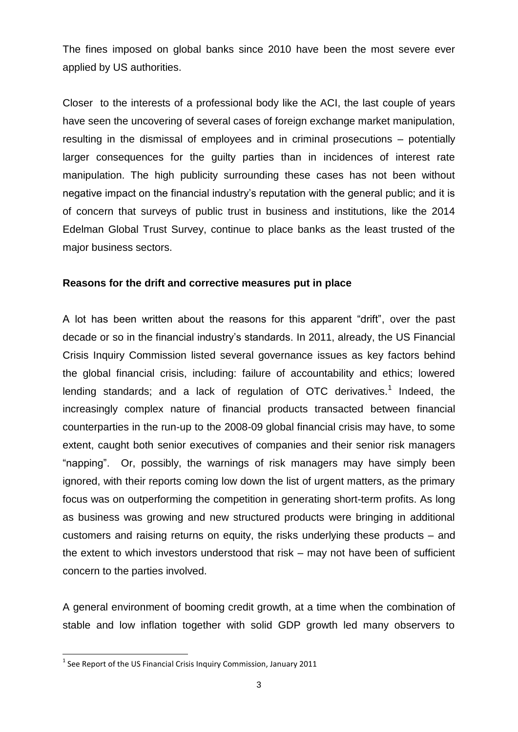The fines imposed on global banks since 2010 have been the most severe ever applied by US authorities.

Closer to the interests of a professional body like the ACI, the last couple of years have seen the uncovering of several cases of foreign exchange market manipulation, resulting in the dismissal of employees and in criminal prosecutions – potentially larger consequences for the guilty parties than in incidences of interest rate manipulation. The high publicity surrounding these cases has not been without negative impact on the financial industry's reputation with the general public; and it is of concern that surveys of public trust in business and institutions, like the 2014 Edelman Global Trust Survey, continue to place banks as the least trusted of the major business sectors.

## **Reasons for the drift and corrective measures put in place**

A lot has been written about the reasons for this apparent "drift", over the past decade or so in the financial industry's standards. In 2011, already, the US Financial Crisis Inquiry Commission listed several governance issues as key factors behind the global financial crisis, including: failure of accountability and ethics; lowered lending standards; and a lack of regulation of OTC derivatives.<sup>1</sup> Indeed, the increasingly complex nature of financial products transacted between financial counterparties in the run-up to the 2008-09 global financial crisis may have, to some extent, caught both senior executives of companies and their senior risk managers "napping". Or, possibly, the warnings of risk managers may have simply been ignored, with their reports coming low down the list of urgent matters, as the primary focus was on outperforming the competition in generating short-term profits. As long as business was growing and new structured products were bringing in additional customers and raising returns on equity, the risks underlying these products – and the extent to which investors understood that risk – may not have been of sufficient concern to the parties involved.

A general environment of booming credit growth, at a time when the combination of stable and low inflation together with solid GDP growth led many observers to

 1 See Report of the US Financial Crisis Inquiry Commission, January 2011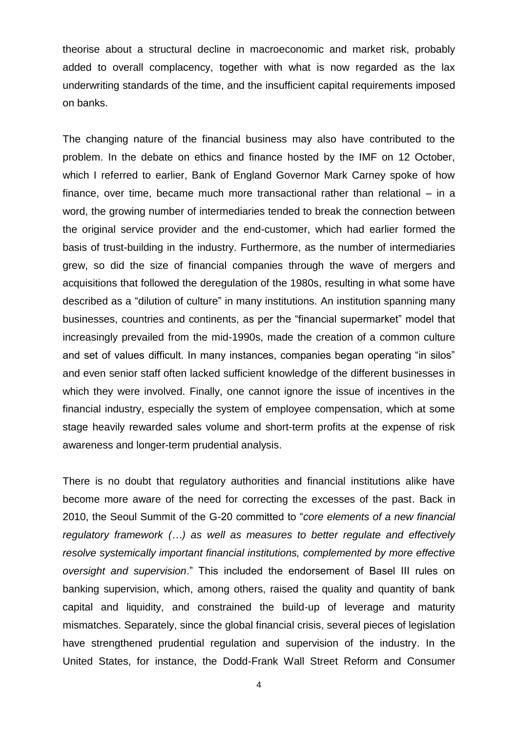theorise about a structural decline in macroeconomic and market risk, probably added to overall complacency, together with what is now regarded as the lax underwriting standards of the time, and the insufficient capital requirements imposed on banks.

The changing nature of the financial business may also have contributed to the problem. In the debate on ethics and finance hosted by the IMF on 12 October, which I referred to earlier, Bank of England Governor Mark Carney spoke of how finance, over time, became much more transactional rather than relational – in a word, the growing number of intermediaries tended to break the connection between the original service provider and the end-customer, which had earlier formed the basis of trust-building in the industry. Furthermore, as the number of intermediaries grew, so did the size of financial companies through the wave of mergers and acquisitions that followed the deregulation of the 1980s, resulting in what some have described as a "dilution of culture" in many institutions. An institution spanning many businesses, countries and continents, as per the "financial supermarket" model that increasingly prevailed from the mid-1990s, made the creation of a common culture and set of values difficult. In many instances, companies began operating "in silos" and even senior staff often lacked sufficient knowledge of the different businesses in which they were involved. Finally, one cannot ignore the issue of incentives in the financial industry, especially the system of employee compensation, which at some stage heavily rewarded sales volume and short-term profits at the expense of risk awareness and longer-term prudential analysis.

There is no doubt that regulatory authorities and financial institutions alike have become more aware of the need for correcting the excesses of the past. Back in 2010, the Seoul Summit of the G-20 committed to "*core elements of a new financial regulatory framework (…) as well as measures to better regulate and effectively resolve systemically important financial institutions, complemented by more effective oversight and supervision*." This included the endorsement of Basel III rules on banking supervision, which, among others, raised the quality and quantity of bank capital and liquidity, and constrained the build-up of leverage and maturity mismatches. Separately, since the global financial crisis, several pieces of legislation have strengthened prudential regulation and supervision of the industry. In the United States, for instance, the Dodd-Frank Wall Street Reform and Consumer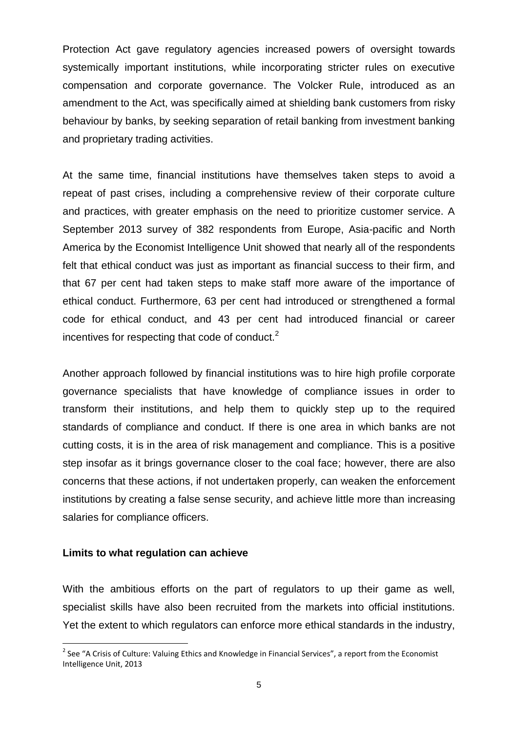Protection Act gave regulatory agencies increased powers of oversight towards systemically important institutions, while incorporating stricter rules on executive compensation and corporate governance. The Volcker Rule, introduced as an amendment to the Act, was specifically aimed at shielding bank customers from risky behaviour by banks, by seeking separation of retail banking from investment banking and proprietary trading activities.

At the same time, financial institutions have themselves taken steps to avoid a repeat of past crises, including a comprehensive review of their corporate culture and practices, with greater emphasis on the need to prioritize customer service. A September 2013 survey of 382 respondents from Europe, Asia-pacific and North America by the Economist Intelligence Unit showed that nearly all of the respondents felt that ethical conduct was just as important as financial success to their firm, and that 67 per cent had taken steps to make staff more aware of the importance of ethical conduct. Furthermore, 63 per cent had introduced or strengthened a formal code for ethical conduct, and 43 per cent had introduced financial or career incentives for respecting that code of conduct. $2^2$ 

Another approach followed by financial institutions was to hire high profile corporate governance specialists that have knowledge of compliance issues in order to transform their institutions, and help them to quickly step up to the required standards of compliance and conduct. If there is one area in which banks are not cutting costs, it is in the area of risk management and compliance. This is a positive step insofar as it brings governance closer to the coal face; however, there are also concerns that these actions, if not undertaken properly, can weaken the enforcement institutions by creating a false sense security, and achieve little more than increasing salaries for compliance officers.

#### **Limits to what regulation can achieve**

**.** 

With the ambitious efforts on the part of regulators to up their game as well, specialist skills have also been recruited from the markets into official institutions. Yet the extent to which regulators can enforce more ethical standards in the industry,

<sup>&</sup>lt;sup>2</sup> See "A Crisis of Culture: Valuing Ethics and Knowledge in Financial Services", a report from the Economist Intelligence Unit, 2013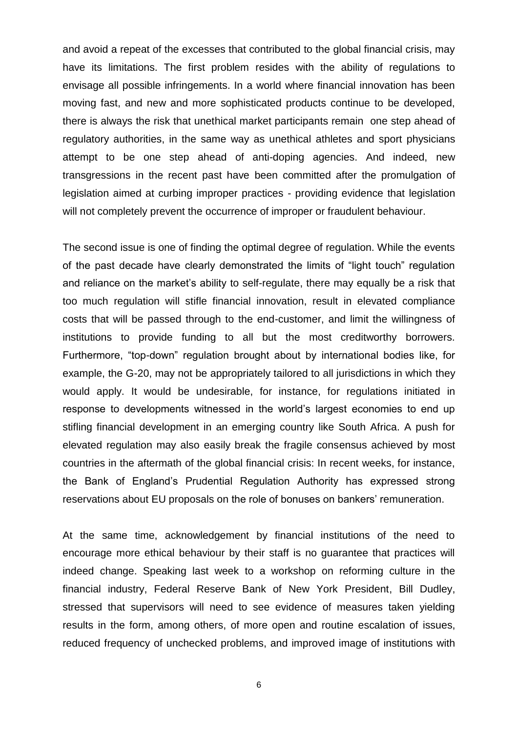and avoid a repeat of the excesses that contributed to the global financial crisis, may have its limitations. The first problem resides with the ability of regulations to envisage all possible infringements. In a world where financial innovation has been moving fast, and new and more sophisticated products continue to be developed, there is always the risk that unethical market participants remain one step ahead of regulatory authorities, in the same way as unethical athletes and sport physicians attempt to be one step ahead of anti-doping agencies. And indeed, new transgressions in the recent past have been committed after the promulgation of legislation aimed at curbing improper practices - providing evidence that legislation will not completely prevent the occurrence of improper or fraudulent behaviour.

The second issue is one of finding the optimal degree of regulation. While the events of the past decade have clearly demonstrated the limits of "light touch" regulation and reliance on the market's ability to self-regulate, there may equally be a risk that too much regulation will stifle financial innovation, result in elevated compliance costs that will be passed through to the end-customer, and limit the willingness of institutions to provide funding to all but the most creditworthy borrowers. Furthermore, "top-down" regulation brought about by international bodies like, for example, the G-20, may not be appropriately tailored to all jurisdictions in which they would apply. It would be undesirable, for instance, for regulations initiated in response to developments witnessed in the world's largest economies to end up stifling financial development in an emerging country like South Africa. A push for elevated regulation may also easily break the fragile consensus achieved by most countries in the aftermath of the global financial crisis: In recent weeks, for instance, the Bank of England's Prudential Regulation Authority has expressed strong reservations about EU proposals on the role of bonuses on bankers' remuneration.

At the same time, acknowledgement by financial institutions of the need to encourage more ethical behaviour by their staff is no guarantee that practices will indeed change. Speaking last week to a workshop on reforming culture in the financial industry, Federal Reserve Bank of New York President, Bill Dudley, stressed that supervisors will need to see evidence of measures taken yielding results in the form, among others, of more open and routine escalation of issues, reduced frequency of unchecked problems, and improved image of institutions with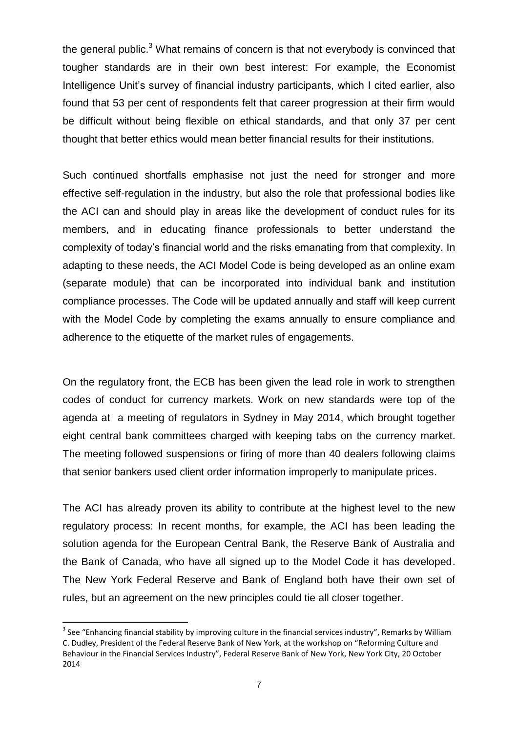the general public. $3$  What remains of concern is that not everybody is convinced that tougher standards are in their own best interest: For example, the Economist Intelligence Unit's survey of financial industry participants, which I cited earlier, also found that 53 per cent of respondents felt that career progression at their firm would be difficult without being flexible on ethical standards, and that only 37 per cent thought that better ethics would mean better financial results for their institutions.

Such continued shortfalls emphasise not just the need for stronger and more effective self-regulation in the industry, but also the role that professional bodies like the ACI can and should play in areas like the development of conduct rules for its members, and in educating finance professionals to better understand the complexity of today's financial world and the risks emanating from that complexity. In adapting to these needs, the ACI Model Code is being developed as an online exam (separate module) that can be incorporated into individual bank and institution compliance processes. The Code will be updated annually and staff will keep current with the Model Code by completing the exams annually to ensure compliance and adherence to the etiquette of the market rules of engagements.

On the regulatory front, the ECB has been given the lead role in work to strengthen codes of conduct for currency markets. Work on new standards were top of the agenda at a meeting of regulators in Sydney in May 2014, which brought together eight central bank committees charged with keeping tabs on the currency market. The meeting followed suspensions or firing of more than 40 dealers following claims that senior bankers used client order information improperly to manipulate prices.

The ACI has already proven its ability to contribute at the highest level to the new regulatory process: In recent months, for example, the ACI has been leading the solution agenda for the European Central Bank, the Reserve Bank of Australia and the Bank of Canada, who have all signed up to the Model Code it has developed. The New York Federal Reserve and Bank of England both have their own set of rules, but an agreement on the new principles could tie all closer together.

**.** 

 $3$  See "Enhancing financial stability by improving culture in the financial services industry", Remarks by William C. Dudley, President of the Federal Reserve Bank of New York, at the workshop on "Reforming Culture and Behaviour in the Financial Services Industry", Federal Reserve Bank of New York, New York City, 20 October 2014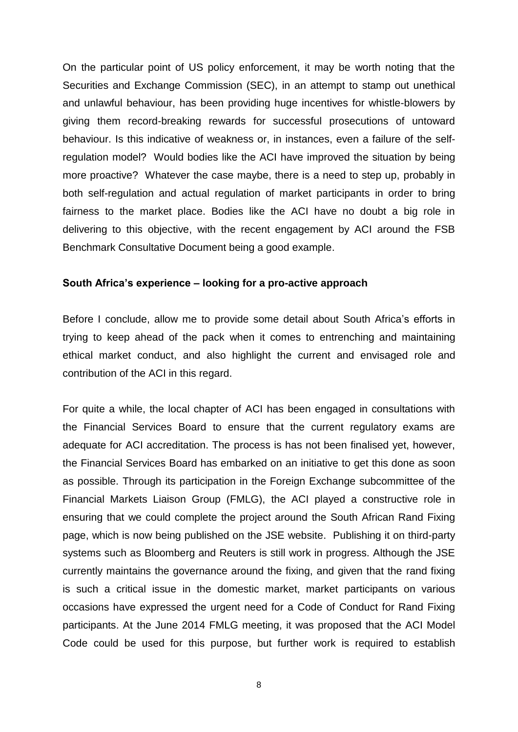On the particular point of US policy enforcement, it may be worth noting that the Securities and Exchange Commission (SEC), in an attempt to stamp out unethical and unlawful behaviour, has been providing huge incentives for whistle-blowers by giving them record-breaking rewards for successful prosecutions of untoward behaviour. Is this indicative of weakness or, in instances, even a failure of the selfregulation model? Would bodies like the ACI have improved the situation by being more proactive? Whatever the case maybe, there is a need to step up, probably in both self-regulation and actual regulation of market participants in order to bring fairness to the market place. Bodies like the ACI have no doubt a big role in delivering to this objective, with the recent engagement by ACI around the FSB Benchmark Consultative Document being a good example.

## **South Africa's experience – looking for a pro-active approach**

Before I conclude, allow me to provide some detail about South Africa's efforts in trying to keep ahead of the pack when it comes to entrenching and maintaining ethical market conduct, and also highlight the current and envisaged role and contribution of the ACI in this regard.

For quite a while, the local chapter of ACI has been engaged in consultations with the Financial Services Board to ensure that the current regulatory exams are adequate for ACI accreditation. The process is has not been finalised yet, however, the Financial Services Board has embarked on an initiative to get this done as soon as possible. Through its participation in the Foreign Exchange subcommittee of the Financial Markets Liaison Group (FMLG), the ACI played a constructive role in ensuring that we could complete the project around the South African Rand Fixing page, which is now being published on the JSE website. Publishing it on third-party systems such as Bloomberg and Reuters is still work in progress. Although the JSE currently maintains the governance around the fixing, and given that the rand fixing is such a critical issue in the domestic market, market participants on various occasions have expressed the urgent need for a Code of Conduct for Rand Fixing participants. At the June 2014 FMLG meeting, it was proposed that the ACI Model Code could be used for this purpose, but further work is required to establish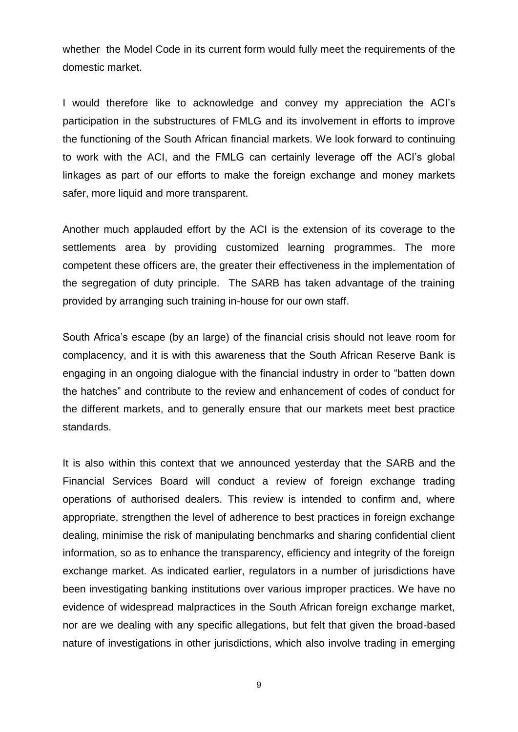whether the Model Code in its current form would fully meet the requirements of the domestic market.

I would therefore like to acknowledge and convey my appreciation the ACI's participation in the substructures of FMLG and its involvement in efforts to improve the functioning of the South African financial markets. We look forward to continuing to work with the ACI, and the FMLG can certainly leverage off the ACI's global linkages as part of our efforts to make the foreign exchange and money markets safer, more liquid and more transparent.

Another much applauded effort by the ACI is the extension of its coverage to the settlements area by providing customized learning programmes. The more competent these officers are, the greater their effectiveness in the implementation of the segregation of duty principle. The SARB has taken advantage of the training provided by arranging such training in-house for our own staff.

South Africa's escape (by an large) of the financial crisis should not leave room for complacency, and it is with this awareness that the South African Reserve Bank is engaging in an ongoing dialogue with the financial industry in order to "batten down the hatches" and contribute to the review and enhancement of codes of conduct for the different markets, and to generally ensure that our markets meet best practice standards.

It is also within this context that we announced yesterday that the SARB and the Financial Services Board will conduct a review of foreign exchange trading operations of authorised dealers. This review is intended to confirm and, where appropriate, strengthen the level of adherence to best practices in foreign exchange dealing, minimise the risk of manipulating benchmarks and sharing confidential client information, so as to enhance the transparency, efficiency and integrity of the foreign exchange market. As indicated earlier, regulators in a number of jurisdictions have been investigating banking institutions over various improper practices. We have no evidence of widespread malpractices in the South African foreign exchange market, nor are we dealing with any specific allegations, but felt that given the broad-based nature of investigations in other jurisdictions, which also involve trading in emerging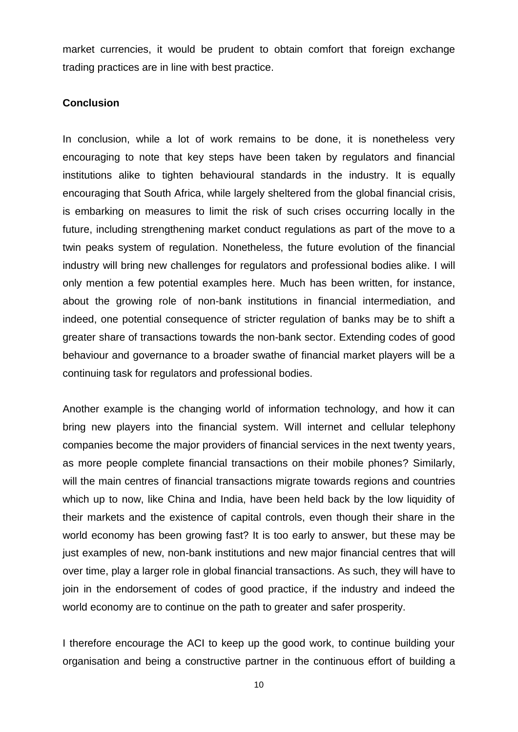market currencies, it would be prudent to obtain comfort that foreign exchange trading practices are in line with best practice.

### **Conclusion**

In conclusion, while a lot of work remains to be done, it is nonetheless very encouraging to note that key steps have been taken by regulators and financial institutions alike to tighten behavioural standards in the industry. It is equally encouraging that South Africa, while largely sheltered from the global financial crisis, is embarking on measures to limit the risk of such crises occurring locally in the future, including strengthening market conduct regulations as part of the move to a twin peaks system of regulation. Nonetheless, the future evolution of the financial industry will bring new challenges for regulators and professional bodies alike. I will only mention a few potential examples here. Much has been written, for instance, about the growing role of non-bank institutions in financial intermediation, and indeed, one potential consequence of stricter regulation of banks may be to shift a greater share of transactions towards the non-bank sector. Extending codes of good behaviour and governance to a broader swathe of financial market players will be a continuing task for regulators and professional bodies.

Another example is the changing world of information technology, and how it can bring new players into the financial system. Will internet and cellular telephony companies become the major providers of financial services in the next twenty years, as more people complete financial transactions on their mobile phones? Similarly, will the main centres of financial transactions migrate towards regions and countries which up to now, like China and India, have been held back by the low liquidity of their markets and the existence of capital controls, even though their share in the world economy has been growing fast? It is too early to answer, but these may be just examples of new, non-bank institutions and new major financial centres that will over time, play a larger role in global financial transactions. As such, they will have to join in the endorsement of codes of good practice, if the industry and indeed the world economy are to continue on the path to greater and safer prosperity.

I therefore encourage the ACI to keep up the good work, to continue building your organisation and being a constructive partner in the continuous effort of building a